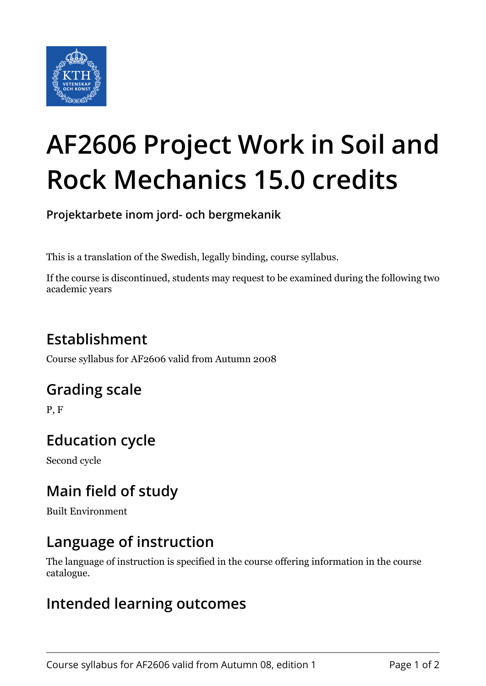

# **AF2606 Project Work in Soil and Rock Mechanics 15.0 credits**

**Projektarbete inom jord- och bergmekanik**

This is a translation of the Swedish, legally binding, course syllabus.

If the course is discontinued, students may request to be examined during the following two academic years

# **Establishment**

Course syllabus for AF2606 valid from Autumn 2008

### **Grading scale**

P, F

# **Education cycle**

Second cycle

# **Main field of study**

Built Environment

#### **Language of instruction**

The language of instruction is specified in the course offering information in the course catalogue.

#### **Intended learning outcomes**